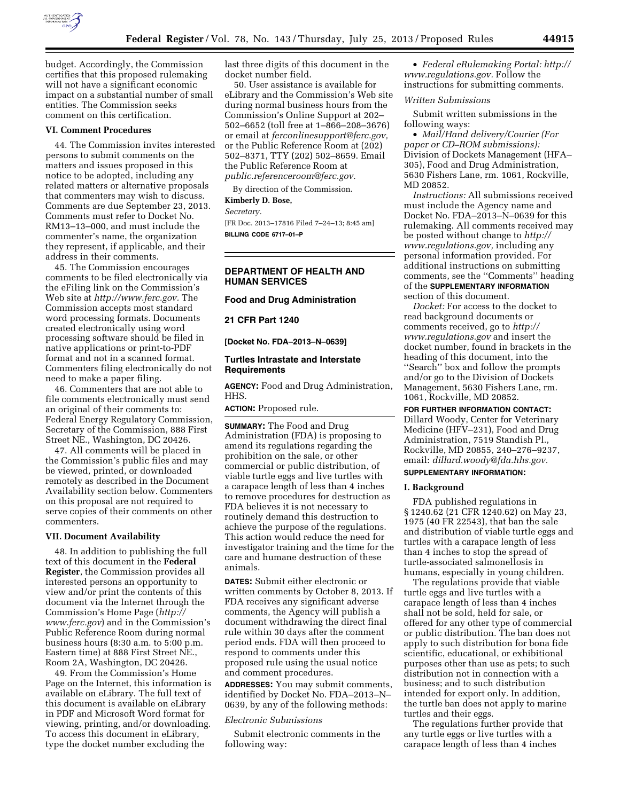

budget. Accordingly, the Commission certifies that this proposed rulemaking will not have a significant economic impact on a substantial number of small entities. The Commission seeks comment on this certification.

#### **VI. Comment Procedures**

44. The Commission invites interested persons to submit comments on the matters and issues proposed in this notice to be adopted, including any related matters or alternative proposals that commenters may wish to discuss. Comments are due September 23, 2013. Comments must refer to Docket No. RM13–13–000, and must include the commenter's name, the organization they represent, if applicable, and their address in their comments.

45. The Commission encourages comments to be filed electronically via the eFiling link on the Commission's Web site at *[http://www.ferc.gov.](http://www.ferc.gov)* The Commission accepts most standard word processing formats. Documents created electronically using word processing software should be filed in native applications or print-to-PDF format and not in a scanned format. Commenters filing electronically do not need to make a paper filing.

46. Commenters that are not able to file comments electronically must send an original of their comments to: Federal Energy Regulatory Commission, Secretary of the Commission, 888 First Street NE., Washington, DC 20426.

47. All comments will be placed in the Commission's public files and may be viewed, printed, or downloaded remotely as described in the Document Availability section below. Commenters on this proposal are not required to serve copies of their comments on other commenters.

#### **VII. Document Availability**

48. In addition to publishing the full text of this document in the **Federal Register**, the Commission provides all interested persons an opportunity to view and/or print the contents of this document via the Internet through the Commission's Home Page (*[http://](http://www.ferc.gov) [www.ferc.gov](http://www.ferc.gov)*) and in the Commission's Public Reference Room during normal business hours (8:30 a.m. to 5:00 p.m. Eastern time) at 888 First Street NE., Room 2A, Washington, DC 20426.

49. From the Commission's Home Page on the Internet, this information is available on eLibrary. The full text of this document is available on eLibrary in PDF and Microsoft Word format for viewing, printing, and/or downloading. To access this document in eLibrary, type the docket number excluding the

last three digits of this document in the docket number field.

50. User assistance is available for eLibrary and the Commission's Web site during normal business hours from the Commission's Online Support at 202– 502–6652 (toll free at 1–866–208–3676) or email at *[ferconlinesupport@ferc.gov,](mailto:ferconlinesupport@ferc.gov)*  or the Public Reference Room at (202) 502–8371, TTY (202) 502–8659. Email the Public Reference Room at *[public.referenceroom@ferc.gov.](mailto:public.referenceroom@ferc.gov)* 

By direction of the Commission.

# **Kimberly D. Bose,**

*Secretary.* 

[FR Doc. 2013–17816 Filed 7–24–13; 8:45 am] **BILLING CODE 6717–01–P** 

# **DEPARTMENT OF HEALTH AND HUMAN SERVICES**

# **Food and Drug Administration**

**21 CFR Part 1240** 

**[Docket No. FDA–2013–N–0639]** 

### **Turtles Intrastate and Interstate Requirements**

**AGENCY:** Food and Drug Administration, HHS.

**ACTION:** Proposed rule.

**SUMMARY:** The Food and Drug Administration (FDA) is proposing to amend its regulations regarding the prohibition on the sale, or other commercial or public distribution, of viable turtle eggs and live turtles with a carapace length of less than 4 inches to remove procedures for destruction as FDA believes it is not necessary to routinely demand this destruction to achieve the purpose of the regulations. This action would reduce the need for investigator training and the time for the care and humane destruction of these animals.

**DATES:** Submit either electronic or written comments by October 8, 2013. If FDA receives any significant adverse comments, the Agency will publish a document withdrawing the direct final rule within 30 days after the comment period ends. FDA will then proceed to respond to comments under this proposed rule using the usual notice and comment procedures.

**ADDRESSES:** You may submit comments, identified by Docket No. FDA–2013–N– 0639, by any of the following methods:

#### *Electronic Submissions*

Submit electronic comments in the following way:

• *Federal eRulemaking Portal: [http://](http://www.regulations.gov)  [www.regulations.gov.](http://www.regulations.gov)* Follow the instructions for submitting comments.

### *Written Submissions*

Submit written submissions in the following ways:

• *Mail/Hand delivery/Courier (For paper or CD–ROM submissions):*  Division of Dockets Management (HFA– 305), Food and Drug Administration, 5630 Fishers Lane, rm. 1061, Rockville, MD 20852.

*Instructions:* All submissions received must include the Agency name and Docket No. FDA–2013–N–0639 for this rulemaking. All comments received may be posted without change to *[http://](http://www.regulations.gov) [www.regulations.gov,](http://www.regulations.gov)* including any personal information provided. For additional instructions on submitting comments, see the ''Comments'' heading of the **SUPPLEMENTARY INFORMATION** section of this document.

*Docket:* For access to the docket to read background documents or comments received, go to *[http://](http://www.regulations.gov)  [www.regulations.gov](http://www.regulations.gov)* and insert the docket number, found in brackets in the heading of this document, into the ''Search'' box and follow the prompts and/or go to the Division of Dockets Management, 5630 Fishers Lane, rm. 1061, Rockville, MD 20852.

**FOR FURTHER INFORMATION CONTACT:**  Dillard Woody, Center for Veterinary Medicine (HFV–231), Food and Drug Administration, 7519 Standish Pl., Rockville, MD 20855, 240–276–9237, email: *[dillard.woody@fda.hhs.gov.](mailto:dillard.woody@fda.hhs.gov)* 

### **SUPPLEMENTARY INFORMATION:**

### **I. Background**

FDA published regulations in § 1240.62 (21 CFR 1240.62) on May 23, 1975 (40 FR 22543), that ban the sale and distribution of viable turtle eggs and turtles with a carapace length of less than 4 inches to stop the spread of turtle-associated salmonellosis in humans, especially in young children.

The regulations provide that viable turtle eggs and live turtles with a carapace length of less than 4 inches shall not be sold, held for sale, or offered for any other type of commercial or public distribution. The ban does not apply to such distribution for bona fide scientific, educational, or exhibitional purposes other than use as pets; to such distribution not in connection with a business; and to such distribution intended for export only. In addition, the turtle ban does not apply to marine turtles and their eggs.

The regulations further provide that any turtle eggs or live turtles with a carapace length of less than 4 inches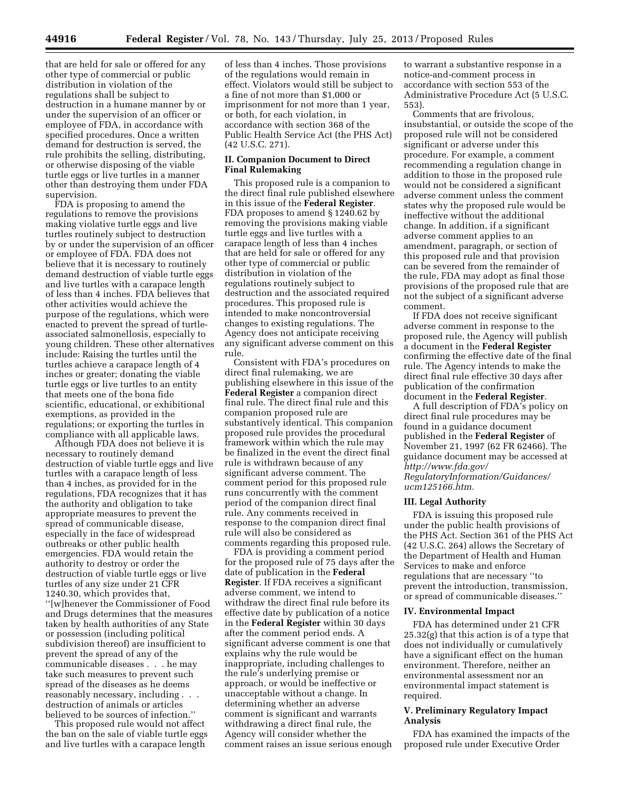that are held for sale or offered for any other type of commercial or public distribution in violation of the regulations shall be subject to destruction in a humane manner by or under the supervision of an officer or employee of FDA, in accordance with specified procedures. Once a written demand for destruction is served, the rule prohibits the selling, distributing, or otherwise disposing of the viable turtle eggs or live turtles in a manner other than destroying them under FDA supervision.

FDA is proposing to amend the regulations to remove the provisions making violative turtle eggs and live turtles routinely subject to destruction by or under the supervision of an officer or employee of FDA. FDA does not believe that it is necessary to routinely demand destruction of viable turtle eggs and live turtles with a carapace length of less than 4 inches. FDA believes that other activities would achieve the purpose of the regulations, which were enacted to prevent the spread of turtleassociated salmonellosis, especially to young children. These other alternatives include: Raising the turtles until the turtles achieve a carapace length of 4 inches or greater; donating the viable turtle eggs or live turtles to an entity that meets one of the bona fide scientific, educational, or exhibitional exemptions, as provided in the regulations; or exporting the turtles in compliance with all applicable laws.

Although FDA does not believe it is necessary to routinely demand destruction of viable turtle eggs and live turtles with a carapace length of less than 4 inches, as provided for in the regulations, FDA recognizes that it has the authority and obligation to take appropriate measures to prevent the spread of communicable disease, especially in the face of widespread outbreaks or other public health emergencies. FDA would retain the authority to destroy or order the destruction of viable turtle eggs or live turtles of any size under 21 CFR 1240.30, which provides that, ''[w]henever the Commissioner of Food and Drugs determines that the measures taken by health authorities of any State or possession (including political subdivision thereof) are insufficient to prevent the spread of any of the communicable diseases . . . he may take such measures to prevent such spread of the diseases as he deems reasonably necessary, including . . . destruction of animals or articles believed to be sources of infection.''

This proposed rule would not affect the ban on the sale of viable turtle eggs and live turtles with a carapace length

of less than 4 inches. Those provisions of the regulations would remain in effect. Violators would still be subject to a fine of not more than \$1,000 or imprisonment for not more than 1 year, or both, for each violation, in accordance with section 368 of the Public Health Service Act (the PHS Act) (42 U.S.C. 271).

# **II. Companion Document to Direct Final Rulemaking**

This proposed rule is a companion to the direct final rule published elsewhere in this issue of the **Federal Register**. FDA proposes to amend § 1240.62 by removing the provisions making viable turtle eggs and live turtles with a carapace length of less than 4 inches that are held for sale or offered for any other type of commercial or public distribution in violation of the regulations routinely subject to destruction and the associated required procedures. This proposed rule is intended to make noncontroversial changes to existing regulations. The Agency does not anticipate receiving any significant adverse comment on this rule.

Consistent with FDA's procedures on direct final rulemaking, we are publishing elsewhere in this issue of the **Federal Register** a companion direct final rule. The direct final rule and this companion proposed rule are substantively identical. This companion proposed rule provides the procedural framework within which the rule may be finalized in the event the direct final rule is withdrawn because of any significant adverse comment. The comment period for this proposed rule runs concurrently with the comment period of the companion direct final rule. Any comments received in response to the companion direct final rule will also be considered as comments regarding this proposed rule.

FDA is providing a comment period for the proposed rule of 75 days after the date of publication in the **Federal Register**. If FDA receives a significant adverse comment, we intend to withdraw the direct final rule before its effective date by publication of a notice in the **Federal Register** within 30 days after the comment period ends. A significant adverse comment is one that explains why the rule would be inappropriate, including challenges to the rule's underlying premise or approach, or would be ineffective or unacceptable without a change. In determining whether an adverse comment is significant and warrants withdrawing a direct final rule, the Agency will consider whether the comment raises an issue serious enough

to warrant a substantive response in a notice-and-comment process in accordance with section 553 of the Administrative Procedure Act (5 U.S.C. 553).

Comments that are frivolous, insubstantial, or outside the scope of the proposed rule will not be considered significant or adverse under this procedure. For example, a comment recommending a regulation change in addition to those in the proposed rule would not be considered a significant adverse comment unless the comment states why the proposed rule would be ineffective without the additional change. In addition, if a significant adverse comment applies to an amendment, paragraph, or section of this proposed rule and that provision can be severed from the remainder of the rule, FDA may adopt as final those provisions of the proposed rule that are not the subject of a significant adverse comment.

If FDA does not receive significant adverse comment in response to the proposed rule, the Agency will publish a document in the **Federal Register**  confirming the effective date of the final rule. The Agency intends to make the direct final rule effective 30 days after publication of the confirmation document in the **Federal Register**.

A full description of FDA's policy on direct final rule procedures may be found in a guidance document published in the **Federal Register** of November 21, 1997 (62 FR 62466). The guidance document may be accessed at *[http://www.fda.gov/](http://www.fda.gov/RegulatoryInformation/Guidances/ucm125166.htm)* 

*[RegulatoryInformation/Guidances/](http://www.fda.gov/RegulatoryInformation/Guidances/ucm125166.htm)  [ucm125166.htm.](http://www.fda.gov/RegulatoryInformation/Guidances/ucm125166.htm)* 

### **III. Legal Authority**

FDA is issuing this proposed rule under the public health provisions of the PHS Act. Section 361 of the PHS Act (42 U.S.C. 264) allows the Secretary of the Department of Health and Human Services to make and enforce regulations that are necessary ''to prevent the introduction, transmission, or spread of communicable diseases.''

### **IV. Environmental Impact**

FDA has determined under 21 CFR 25.32(g) that this action is of a type that does not individually or cumulatively have a significant effect on the human environment. Therefore, neither an environmental assessment nor an environmental impact statement is required.

# **V. Preliminary Regulatory Impact Analysis**

FDA has examined the impacts of the proposed rule under Executive Order